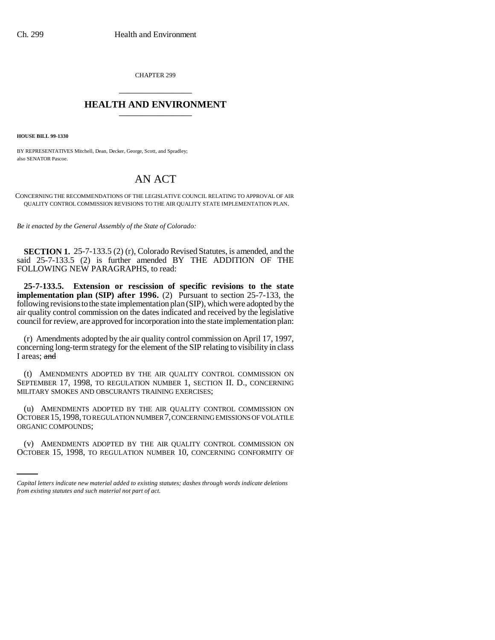CHAPTER 299 \_\_\_\_\_\_\_\_\_\_\_\_\_\_\_

## **HEALTH AND ENVIRONMENT** \_\_\_\_\_\_\_\_\_\_\_\_\_\_\_

**HOUSE BILL 99-1330** 

BY REPRESENTATIVES Mitchell, Dean, Decker, George, Scott, and Spradley; also SENATOR Pascoe.

## AN ACT

CONCERNING THE RECOMMENDATIONS OF THE LEGISLATIVE COUNCIL RELATING TO APPROVAL OF AIR QUALITY CONTROL COMMISSION REVISIONS TO THE AIR QUALITY STATE IMPLEMENTATION PLAN.

*Be it enacted by the General Assembly of the State of Colorado:*

**SECTION 1.** 25-7-133.5 (2) (r), Colorado Revised Statutes, is amended, and the said 25-7-133.5 (2) is further amended BY THE ADDITION OF THE FOLLOWING NEW PARAGRAPHS, to read:

**25-7-133.5. Extension or rescission of specific revisions to the state implementation plan (SIP) after 1996.** (2) Pursuant to section 25-7-133, the following revisions to the state implementation plan (SIP), which were adopted by the air quality control commission on the dates indicated and received by the legislative council for review, are approved for incorporation into the state implementation plan:

(r) Amendments adopted by the air quality control commission on April 17, 1997, concerning long-term strategy for the element of the SIP relating to visibility in class I areas; and

(t) AMENDMENTS ADOPTED BY THE AIR QUALITY CONTROL COMMISSION ON SEPTEMBER 17, 1998, TO REGULATION NUMBER 1, SECTION II. D., CONCERNING MILITARY SMOKES AND OBSCURANTS TRAINING EXERCISES;

ORGANIC COMPOUNDS; (u) AMENDMENTS ADOPTED BY THE AIR QUALITY CONTROL COMMISSION ON OCTOBER 15,1998, TO REGULATION NUMBER 7, CONCERNING EMISSIONS OF VOLATILE

(v) AMENDMENTS ADOPTED BY THE AIR QUALITY CONTROL COMMISSION ON OCTOBER 15, 1998, TO REGULATION NUMBER 10, CONCERNING CONFORMITY OF

*Capital letters indicate new material added to existing statutes; dashes through words indicate deletions from existing statutes and such material not part of act.*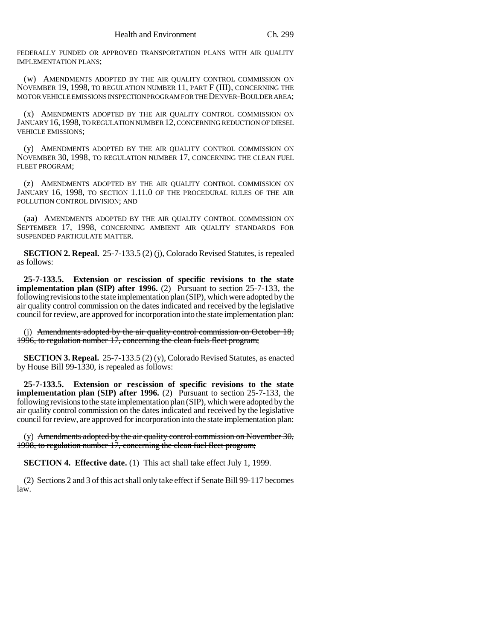FEDERALLY FUNDED OR APPROVED TRANSPORTATION PLANS WITH AIR QUALITY IMPLEMENTATION PLANS;

(w) AMENDMENTS ADOPTED BY THE AIR QUALITY CONTROL COMMISSION ON NOVEMBER 19, 1998, TO REGULATION NUMBER 11, PART F (III), CONCERNING THE MOTOR VEHICLE EMISSIONS INSPECTION PROGRAM FOR THE DENVER-BOULDER AREA;

(x) AMENDMENTS ADOPTED BY THE AIR QUALITY CONTROL COMMISSION ON JANUARY 16, 1998, TO REGULATION NUMBER 12, CONCERNING REDUCTION OF DIESEL VEHICLE EMISSIONS;

(y) AMENDMENTS ADOPTED BY THE AIR QUALITY CONTROL COMMISSION ON NOVEMBER 30, 1998, TO REGULATION NUMBER 17, CONCERNING THE CLEAN FUEL FLEET PROGRAM;

(z) AMENDMENTS ADOPTED BY THE AIR QUALITY CONTROL COMMISSION ON JANUARY 16, 1998, TO SECTION 1.11.0 OF THE PROCEDURAL RULES OF THE AIR POLLUTION CONTROL DIVISION; AND

(aa) AMENDMENTS ADOPTED BY THE AIR QUALITY CONTROL COMMISSION ON SEPTEMBER 17, 1998, CONCERNING AMBIENT AIR QUALITY STANDARDS FOR SUSPENDED PARTICULATE MATTER.

**SECTION 2. Repeal.** 25-7-133.5 (2) (j), Colorado Revised Statutes, is repealed as follows:

**25-7-133.5. Extension or rescission of specific revisions to the state implementation plan (SIP) after 1996.** (2) Pursuant to section 25-7-133, the following revisions to the state implementation plan (SIP), which were adopted by the air quality control commission on the dates indicated and received by the legislative council for review, are approved for incorporation into the state implementation plan:

(j) Amendments adopted by the air quality control commission on October 18, 1996, to regulation number 17, concerning the clean fuels fleet program;

**SECTION 3. Repeal.** 25-7-133.5 (2) (y), Colorado Revised Statutes, as enacted by House Bill 99-1330, is repealed as follows:

**25-7-133.5. Extension or rescission of specific revisions to the state implementation plan (SIP) after 1996.** (2) Pursuant to section 25-7-133, the following revisions to the state implementation plan (SIP), which were adopted by the air quality control commission on the dates indicated and received by the legislative council for review, are approved for incorporation into the state implementation plan:

(y) Amendments adopted by the air quality control commission on November  $30$ , 1998, to regulation number 17, concerning the clean fuel fleet program;

**SECTION 4. Effective date.** (1) This act shall take effect July 1, 1999.

(2) Sections 2 and 3 of this act shall only take effect if Senate Bill 99-117 becomes law.